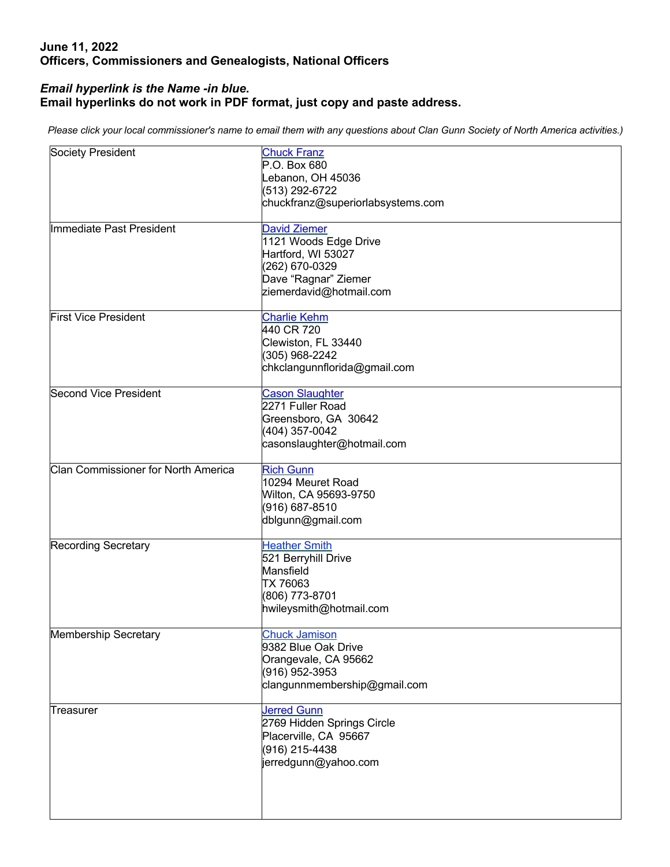## **June 11, 2022 Officers, Commissioners and Genealogists, National Officers**

## *Email hyperlink is the Name -in blue***. Email hyperlinks do not work in PDF format, just copy and paste address.**

*Please click your local commissioner's name to email them with any questions about Clan Gunn Society of North America activities.)*

| Society President                   | <b>Chuck Franz</b><br>P.O. Box 680<br>Lebanon, OH 45036<br>(513) 292-6722<br>chuckfranz@superiorlabsystems.com                          |
|-------------------------------------|-----------------------------------------------------------------------------------------------------------------------------------------|
| Immediate Past President            | <b>David Ziemer</b><br>1121 Woods Edge Drive<br>Hartford, WI 53027<br>(262) 670-0329<br>Dave "Ragnar" Ziemer<br>ziemerdavid@hotmail.com |
| <b>First Vice President</b>         | <b>Charlie Kehm</b><br>440 CR 720<br>Clewiston, FL 33440<br>(305) 968-2242<br>chkclangunnflorida@gmail.com                              |
| Second Vice President               | <b>Cason Slaughter</b><br>2271 Fuller Road<br>Greensboro, GA 30642<br>(404) 357-0042<br>casonslaughter@hotmail.com                      |
| Clan Commissioner for North America | <b>Rich Gunn</b><br>10294 Meuret Road<br>Wilton, CA 95693-9750<br>(916) 687-8510<br>dblgunn@gmail.com                                   |
| <b>Recording Secretary</b>          | <b>Heather Smith</b><br>521 Berryhill Drive<br>Mansfield<br>TX 76063<br>(806) 773-8701<br>hwileysmith@hotmail.com                       |
| Membership Secretary                | <b>Chuck Jamison</b><br>9382 Blue Oak Drive<br>Orangevale, CA 95662<br>(916) 952-3953<br>clangunnmembership@gmail.com                   |
| Treasurer                           | <b>Jerred Gunn</b><br>2769 Hidden Springs Circle<br>Placerville, CA 95667<br>(916) 215-4438<br>jerredgunn@yahoo.com                     |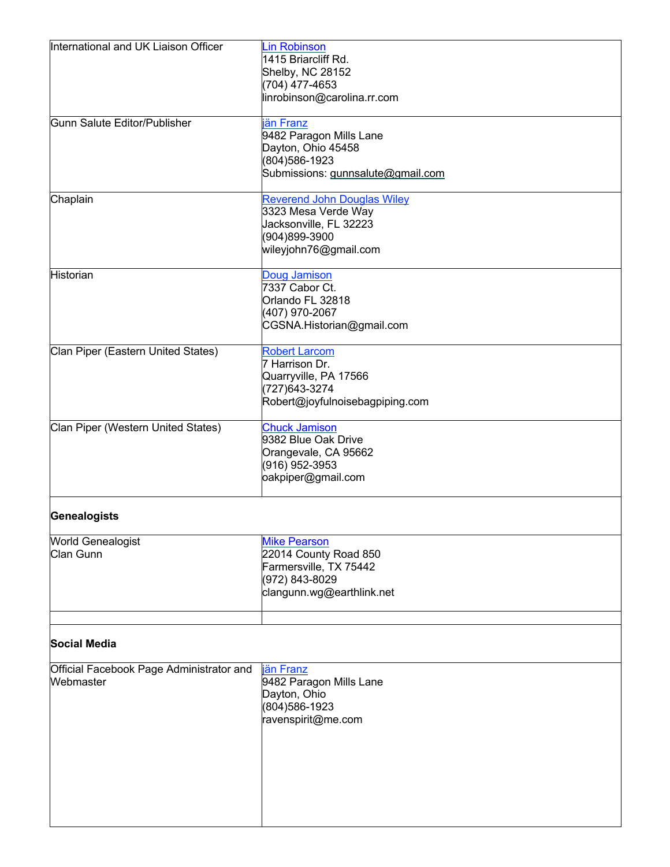| International and UK Liaison Officer                  | <b>Lin Robinson</b><br>1415 Briarcliff Rd.      |
|-------------------------------------------------------|-------------------------------------------------|
|                                                       | Shelby, NC 28152                                |
|                                                       | (704) 477-4653                                  |
|                                                       | linrobinson@carolina.rr.com                     |
| Gunn Salute Editor/Publisher                          | jän Franz                                       |
|                                                       | 9482 Paragon Mills Lane<br>Dayton, Ohio 45458   |
|                                                       | (804) 586-1923                                  |
|                                                       | Submissions: gunnsalute@gmail.com               |
| Chaplain                                              | <b>Reverend John Douglas Wiley</b>              |
|                                                       | 3323 Mesa Verde Way<br>Jacksonville, FL 32223   |
|                                                       | (904)899-3900                                   |
|                                                       | wileyjohn76@gmail.com                           |
| Historian                                             | Doug Jamison                                    |
|                                                       | 7337 Cabor Ct.<br>Orlando FL 32818              |
|                                                       | (407) 970-2067                                  |
|                                                       | CGSNA.Historian@gmail.com                       |
| Clan Piper (Eastern United States)                    | <b>Robert Larcom</b>                            |
|                                                       | 7 Harrison Dr.<br>Quarryville, PA 17566         |
|                                                       | (727) 643-3274                                  |
|                                                       | Robert@joyfulnoisebagpiping.com                 |
| Clan Piper (Western United States)                    | <b>Chuck Jamison</b><br>9382 Blue Oak Drive     |
|                                                       | Orangevale, CA 95662                            |
|                                                       | (916) 952-3953                                  |
|                                                       | oakpiper@gmail.com                              |
| Genealogists                                          |                                                 |
| <b>World Genealogist</b>                              | <b>Mike Pearson</b>                             |
| Clan Gunn                                             | 22014 County Road 850<br>Farmersville, TX 75442 |
|                                                       | (972) 843-8029                                  |
|                                                       | clangunn.wg@earthlink.net                       |
|                                                       |                                                 |
| <b>Social Media</b>                                   |                                                 |
| Official Facebook Page Administrator and<br>Webmaster | jän Franz                                       |
|                                                       | 9482 Paragon Mills Lane<br>Dayton, Ohio         |
|                                                       | (804) 586-1923                                  |
|                                                       | ravenspirit@me.com                              |
|                                                       |                                                 |
|                                                       |                                                 |
|                                                       |                                                 |
|                                                       |                                                 |
|                                                       |                                                 |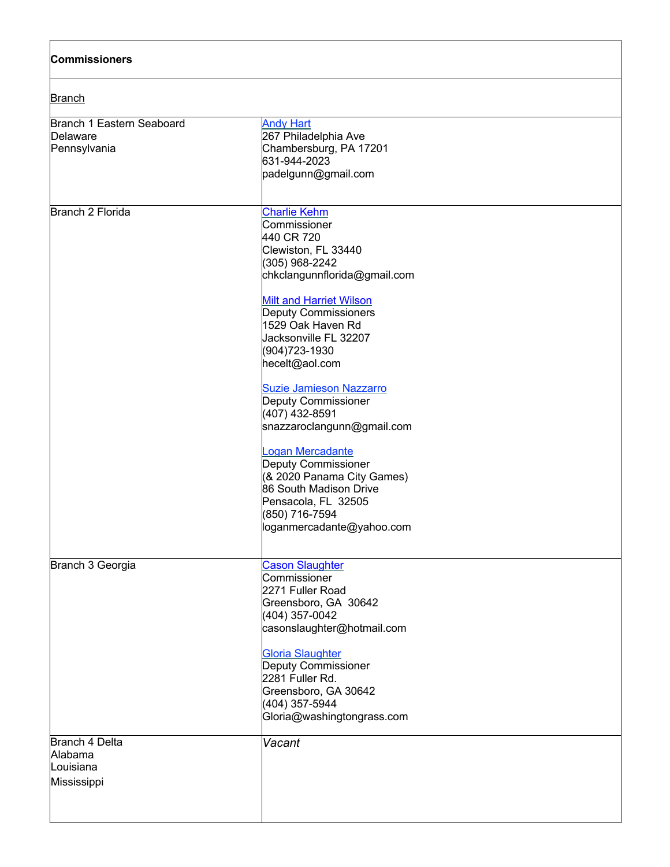| <b>Commissioners</b><br><b>Branch</b>                 |                                                                                                                                                                                                                                                                                                                                                                                                                                                                                                                                                                               |
|-------------------------------------------------------|-------------------------------------------------------------------------------------------------------------------------------------------------------------------------------------------------------------------------------------------------------------------------------------------------------------------------------------------------------------------------------------------------------------------------------------------------------------------------------------------------------------------------------------------------------------------------------|
|                                                       |                                                                                                                                                                                                                                                                                                                                                                                                                                                                                                                                                                               |
| <b>Branch 2 Florida</b>                               | <b>Charlie Kehm</b><br>Commissioner<br>440 CR 720<br>Clewiston, FL 33440<br>(305) 968-2242<br>chkclangunnflorida@gmail.com<br><b>Milt and Harriet Wilson</b><br><b>Deputy Commissioners</b><br>1529 Oak Haven Rd<br>Jacksonville FL 32207<br>(904) 723-1930<br>hecelt@aol.com<br><b>Suzie Jamieson Nazzarro</b><br><b>Deputy Commissioner</b><br>(407) 432-8591<br>snazzaroclangunn@gmail.com<br>Logan Mercadante<br><b>Deputy Commissioner</b><br>(& 2020 Panama City Games)<br>86 South Madison Drive<br>Pensacola, FL 32505<br>(850) 716-7594<br>loganmercadante@yahoo.com |
| Branch 3 Georgia                                      | <b>Cason Slaughter</b><br>Commissioner<br>2271 Fuller Road<br>Greensboro, GA 30642<br>(404) 357-0042<br>casonslaughter@hotmail.com<br><b>Gloria Slaughter</b><br>Deputy Commissioner<br>2281 Fuller Rd.<br>Greensboro, GA 30642<br>(404) 357-5944<br>Gloria@washingtongrass.com                                                                                                                                                                                                                                                                                               |
| Branch 4 Delta<br>Alabama<br>Louisiana<br>Mississippi | Vacant                                                                                                                                                                                                                                                                                                                                                                                                                                                                                                                                                                        |

٦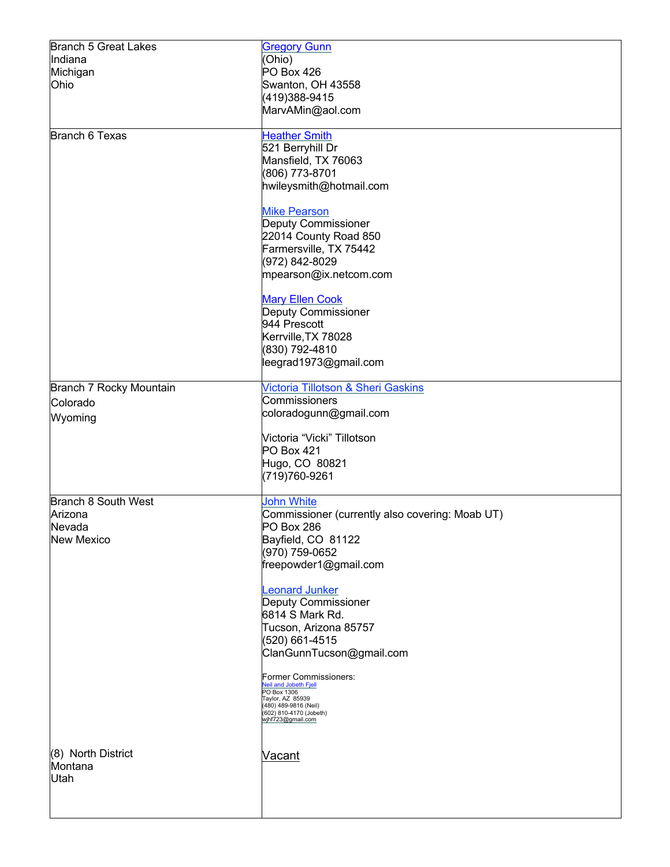| <b>Branch 5 Great Lakes</b> | <b>Gregory Gunn</b>                                   |
|-----------------------------|-------------------------------------------------------|
| Indiana                     | (Ohio)                                                |
| Michigan                    | PO Box 426                                            |
| Ohio                        | Swanton, OH 43558                                     |
|                             | (419)388-9415                                         |
|                             | MarvAMin@aol.com                                      |
| Branch 6 Texas              | <b>Heather Smith</b>                                  |
|                             | 521 Berryhill Dr                                      |
|                             | Mansfield, TX 76063                                   |
|                             | (806) 773-8701                                        |
|                             | hwileysmith@hotmail.com                               |
|                             | <b>Mike Pearson</b>                                   |
|                             | Deputy Commissioner                                   |
|                             | 22014 County Road 850                                 |
|                             | Farmersville, TX 75442                                |
|                             | (972) 842-8029                                        |
|                             | mpearson@ix.netcom.com                                |
|                             | <b>Mary Ellen Cook</b>                                |
|                             | Deputy Commissioner                                   |
|                             | 944 Prescott                                          |
|                             | Kerrville, TX 78028<br>(830) 792-4810                 |
|                             | leegrad1973@gmail.com                                 |
|                             |                                                       |
| Branch 7 Rocky Mountain     | Victoria Tillotson & Sheri Gaskins                    |
| Colorado                    | Commissioners                                         |
| Wyoming                     | coloradogunn@gmail.com                                |
|                             | Victoria "Vicki" Tillotson                            |
|                             | PO Box 421                                            |
|                             | Hugo, CO 80821                                        |
|                             | (719)760-9261                                         |
| Branch 8 South West         | John White                                            |
| Arizona                     | Commissioner (currently also covering: Moab UT)       |
| Nevada                      | PO Box 286                                            |
| <b>New Mexico</b>           | Bayfield, CO 81122                                    |
|                             | (970) 759-0652<br>freepowder1@gmail.com               |
|                             |                                                       |
|                             | <b>Leonard Junker</b>                                 |
|                             | Deputy Commissioner                                   |
|                             | 6814 S Mark Rd.                                       |
|                             | Tucson, Arizona 85757                                 |
|                             | (520) 661-4515<br>ClanGunnTucson@gmail.com            |
|                             |                                                       |
|                             | Former Commissioners:<br><b>Veil and Jobeth Fjell</b> |
|                             | PO Box 1306<br>Taylor, AZ 85939                       |
|                             | (480) 489-9816 (Neil)<br>(602) 810-4170 (Jobeth)      |
|                             | wjhf723@gmail.com                                     |
|                             |                                                       |
| (8) North District          | Vacant                                                |
| Montana<br>Utah             |                                                       |
|                             |                                                       |
|                             |                                                       |
|                             |                                                       |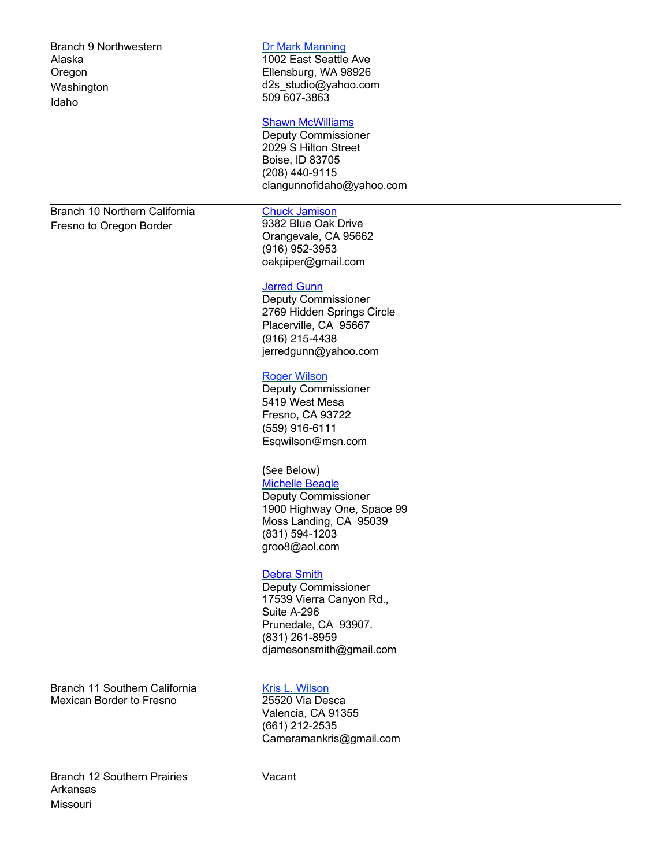| Branch 9 Northwestern<br>Alaska<br>Oregon<br>Washington<br>Idaho | Dr Mark Manning<br>1002 East Seattle Ave<br>Ellensburg, WA 98926<br>d2s_studio@yahoo.com<br>509 607-3863<br><b>Shawn McWilliams</b><br><b>Deputy Commissioner</b>                                                      |
|------------------------------------------------------------------|------------------------------------------------------------------------------------------------------------------------------------------------------------------------------------------------------------------------|
|                                                                  | 2029 S Hilton Street<br>Boise, ID 83705<br>(208) 440-9115<br>clangunnofidaho@yahoo.com                                                                                                                                 |
| Branch 10 Northern California<br>Fresno to Oregon Border         | <b>Chuck Jamison</b><br>9382 Blue Oak Drive<br>Orangevale, CA 95662<br>(916) 952-3953<br>oakpiper@gmail.com<br><b>Jerred Gunn</b><br><b>Deputy Commissioner</b><br>2769 Hidden Springs Circle<br>Placerville, CA 95667 |
|                                                                  | (916) 215-4438<br>jerredgunn@yahoo.com                                                                                                                                                                                 |
|                                                                  | <b>Roger Wilson</b><br><b>Deputy Commissioner</b><br>5419 West Mesa<br>Fresno, CA 93722<br>(559) 916-6111<br>Esqwilson@msn.com                                                                                         |
|                                                                  | (See Below)<br><b>Michelle Beagle</b><br><b>Deputy Commissioner</b><br>1900 Highway One, Space 99<br>Moss Landing, CA 95039<br>(831) 594-1203<br>groo8@aol.com                                                         |
|                                                                  | <b>Debra Smith</b><br>Deputy Commissioner<br>17539 Vierra Canyon Rd.,<br>Suite A-296<br>Prunedale, CA 93907.<br>(831) 261-8959<br>djamesonsmith@gmail.com                                                              |
| Branch 11 Southern California<br><b>Mexican Border to Fresno</b> | Kris L. Wilson<br>25520 Via Desca<br>Valencia, CA 91355<br>(661) 212-2535<br>Cameramankris@gmail.com                                                                                                                   |
| Branch 12 Southern Prairies<br>Arkansas<br>Missouri              | Vacant                                                                                                                                                                                                                 |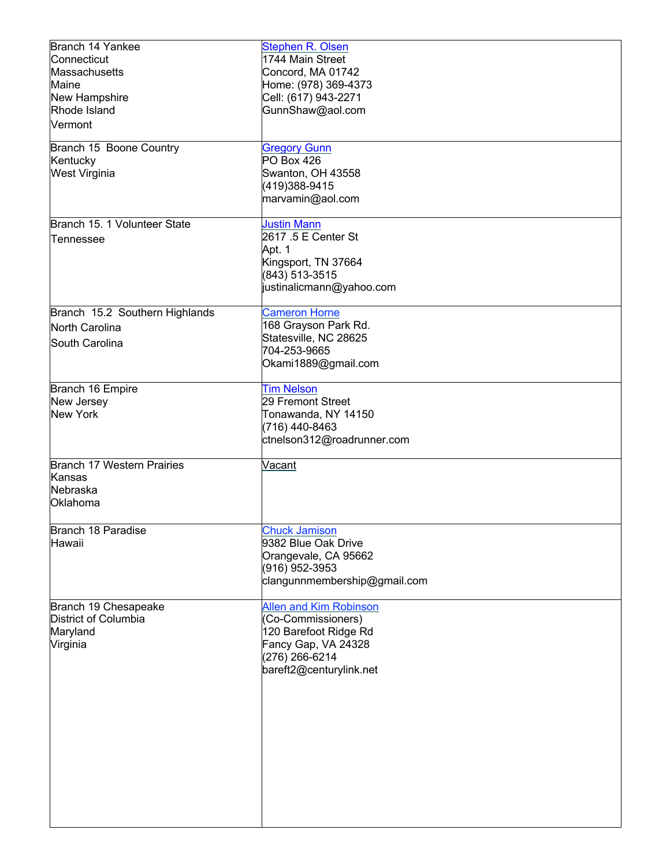| Branch 14 Yankee               | <b>Stephen R. Olsen</b>                             |
|--------------------------------|-----------------------------------------------------|
| Connecticut                    | 1744 Main Street                                    |
| Massachusetts                  | Concord, MA 01742                                   |
| Maine                          | Home: (978) 369-4373                                |
| New Hampshire                  | Cell: (617) 943-2271                                |
| Rhode Island                   | GunnShaw@aol.com                                    |
| Vermont                        |                                                     |
|                                |                                                     |
| Branch 15 Boone Country        | <b>Gregory Gunn</b>                                 |
| Kentucky                       | PO Box 426                                          |
| <b>West Virginia</b>           | Swanton, OH 43558                                   |
|                                | (419)388-9415                                       |
|                                | marvamin@aol.com                                    |
| Branch 15. 1 Volunteer State   | <b>Justin Mann</b>                                  |
|                                | 2617 .5 E Center St                                 |
| lTennessee                     | Apt. 1                                              |
|                                | Kingsport, TN 37664                                 |
|                                | (843) 513-3515                                      |
|                                | justinalicmann@yahoo.com                            |
|                                |                                                     |
| Branch 15.2 Southern Highlands | <b>Cameron Horne</b>                                |
| North Carolina                 | 168 Grayson Park Rd.                                |
| South Carolina                 | Statesville, NC 28625                               |
|                                | 704-253-9665                                        |
|                                | Okami1889@gmail.com                                 |
|                                |                                                     |
| Branch 16 Empire               | <b>Tim Nelson</b>                                   |
| New Jersey                     | 29 Fremont Street                                   |
| <b>New York</b>                | Tonawanda, NY 14150                                 |
|                                | (716) 440-8463                                      |
|                                | ctnelson312@roadrunner.com                          |
| Branch 17 Western Prairies     | Vacant                                              |
| Kansas                         |                                                     |
| Nebraska                       |                                                     |
| Oklahoma                       |                                                     |
|                                |                                                     |
| Branch 18 Paradise             | <b>Chuck Jamison</b>                                |
| Hawaii                         | 9382 Blue Oak Drive                                 |
|                                | Orangevale, CA 95662                                |
|                                | (916) 952-3953                                      |
|                                | clangunnmembership@gmail.com                        |
| Branch 19 Chesapeake           |                                                     |
| District of Columbia           | <b>Allen and Kim Robinson</b><br>(Co-Commissioners) |
| Maryland                       | 120 Barefoot Ridge Rd                               |
| Virginia                       | Fancy Gap, VA 24328                                 |
|                                | (276) 266-6214                                      |
|                                | bareft2@centurylink.net                             |
|                                |                                                     |
|                                |                                                     |
|                                |                                                     |
|                                |                                                     |
|                                |                                                     |
|                                |                                                     |
|                                |                                                     |
|                                |                                                     |
|                                |                                                     |
|                                |                                                     |
|                                |                                                     |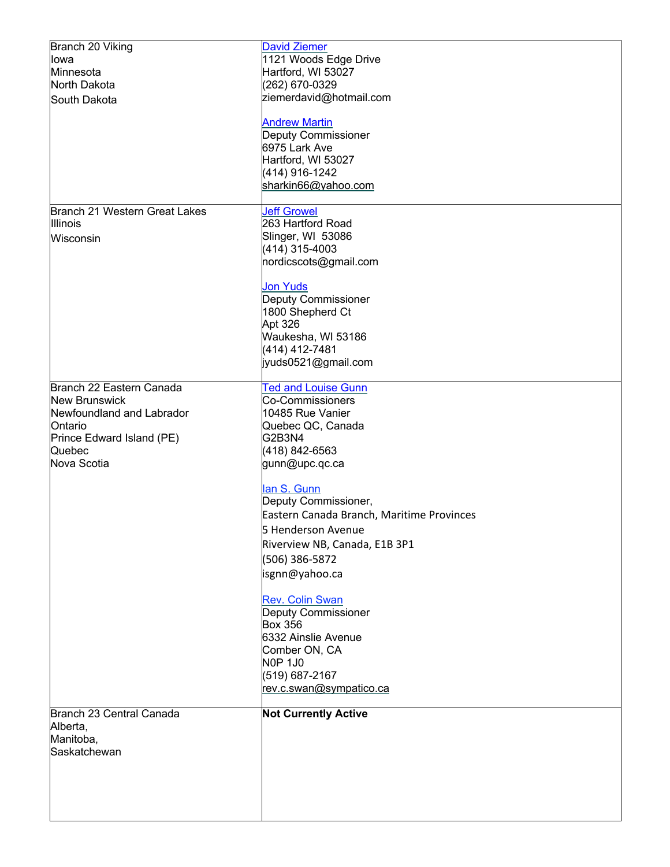| Branch 20 Viking              | <b>David Ziemer</b>                       |
|-------------------------------|-------------------------------------------|
| lowa                          | 1121 Woods Edge Drive                     |
| Minnesota                     | Hartford, WI 53027                        |
| North Dakota                  | (262) 670-0329                            |
| South Dakota                  | ziemerdavid@hotmail.com                   |
|                               |                                           |
|                               | <b>Andrew Martin</b>                      |
|                               | Deputy Commissioner                       |
|                               | 6975 Lark Ave                             |
|                               | Hartford, WI 53027                        |
|                               | (414) 916-1242                            |
|                               | sharkin66@yahoo.com                       |
|                               |                                           |
| Branch 21 Western Great Lakes | <b>Jeff Growel</b>                        |
| <b>Illinois</b>               | 263 Hartford Road                         |
| Wisconsin                     | Slinger, WI 53086                         |
|                               | (414) 315-4003                            |
|                               | nordicscots@gmail.com                     |
|                               |                                           |
|                               | <b>Jon Yuds</b>                           |
|                               | Deputy Commissioner                       |
|                               | 1800 Shepherd Ct                          |
|                               | Apt 326                                   |
|                               | Waukesha, WI 53186                        |
|                               | (414) 412-7481                            |
|                               | jyuds0521@gmail.com                       |
|                               |                                           |
| Branch 22 Eastern Canada      | <b>Ted and Louise Gunn</b>                |
| <b>New Brunswick</b>          | <b>Co-Commissioners</b>                   |
| Newfoundland and Labrador     | 10485 Rue Vanier                          |
| Ontario                       | Quebec QC, Canada                         |
| Prince Edward Island (PE)     | G2B3N4                                    |
| Quebec                        | (418) 842-6563                            |
| Nova Scotia                   | gunn@upc.qc.ca                            |
|                               |                                           |
|                               | lan S. Gunn                               |
|                               | Deputy Commissioner,                      |
|                               | Eastern Canada Branch, Maritime Provinces |
|                               | 5 Henderson Avenue                        |
|                               |                                           |
|                               | Riverview NB, Canada, E1B 3P1             |
|                               | (506) 386-5872                            |
|                               | isgnn@yahoo.ca                            |
|                               |                                           |
|                               | <b>Rev. Colin Swan</b>                    |
|                               | Deputy Commissioner                       |
|                               | <b>Box 356</b>                            |
|                               | 6332 Ainslie Avenue                       |
|                               | Comber ON, CA                             |
|                               | <b>N0P 1J0</b>                            |
|                               | (519) 687-2167                            |
|                               | rev.c.swan@sympatico.ca                   |
|                               |                                           |
| Branch 23 Central Canada      | <b>Not Currently Active</b>               |
| Alberta,                      |                                           |
| Manitoba,                     |                                           |
| Saskatchewan                  |                                           |
|                               |                                           |
|                               |                                           |
|                               |                                           |
|                               |                                           |
|                               |                                           |